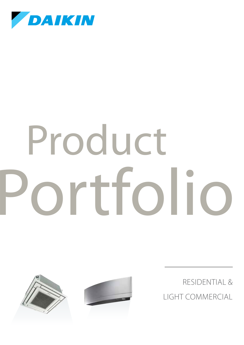

# Portfolio Product



RESIDENTIAL & LIGHT COMMERCIAL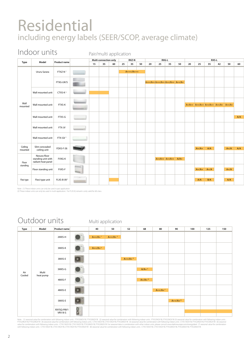### Residential including energy labels (SEER/SCOP, average climate)

#### Indoor units

Pair/multi application

|                    |                                                          |                         |                                 |    |    | .                     |    |              |    |                                  |                            |    |    |    |                                                |     |       |              |     |
|--------------------|----------------------------------------------------------|-------------------------|---------------------------------|----|----|-----------------------|----|--------------|----|----------------------------------|----------------------------|----|----|----|------------------------------------------------|-----|-------|--------------|-----|
| Type               | Model                                                    | Product name            |                                 |    |    | Multi connection only |    | <b>RXZ-N</b> |    |                                  | <b>RXG-L</b>               |    |    |    |                                                |     | RXS-L |              |     |
|                    |                                                          |                         |                                 | 15 | 35 | 60                    | 25 | 35           | 50 | 20                               | 25                         | 35 | 50 | 20 | 25                                             | 35  | 42    | 50           | 60  |
|                    | Ururu Sarara                                             | FTXZ-N <sup>1</sup>     | <b>STATISTICS</b>               |    |    |                       |    | $A+++/A+++$  |    |                                  |                            |    |    |    |                                                |     |       |              |     |
|                    |                                                          | FTXG-LW/S               | $\overline{\phantom{a}}$        |    |    |                       |    |              |    | A+++/A++ A+++/A++ A++/A++ A++/A+ |                            |    |    |    |                                                |     |       |              |     |
|                    | Wall mounted unit                                        | CTXS-K $2$              |                                 |    |    |                       |    |              |    |                                  |                            |    |    |    |                                                |     |       |              |     |
| Wall<br>mounted    | Wall mounted unit                                        | FTXS-K                  |                                 |    |    |                       |    |              |    |                                  |                            |    |    |    | $A+/A++$ $A++/A++$ $A++/A++$ $A++/A+$ $A++/A+$ |     |       |              |     |
|                    | Wall mounted unit                                        | FTXS-G                  | $\frac{1}{2}$ and $\frac{1}{2}$ |    |    |                       |    |              |    |                                  |                            |    |    |    |                                                |     |       |              | A/A |
|                    | Wall mounted unit                                        | FTX-JV                  |                                 |    |    |                       |    |              |    |                                  |                            |    |    |    |                                                |     |       |              |     |
|                    | Wall mounted unit                                        | FTX-GV <sup>1</sup>     | ليد ک                           |    |    |                       |    |              |    |                                  |                            |    |    |    |                                                |     |       |              |     |
| Ceiling<br>mounted | Slim concealed<br>ceiling unit                           | FDXS-F (9)              |                                 |    |    |                       |    |              |    |                                  |                            |    |    |    | $A+/A+$ $A/A$                                  |     |       | $A+/A$ $A/A$ |     |
| Floor              | Nexura-floor<br>standing unit with<br>radiant heat panel | FVXG-K                  |                                 |    |    |                       |    |              |    |                                  | $A++/A++$ $A++/A++$ $A/A+$ |    |    |    |                                                |     |       |              |     |
| standing           | Floor standing unit                                      | FVXS-F                  | $\Box$                          |    |    |                       |    |              |    |                                  |                            |    |    |    | $A+/A+$ $A+/A$                                 |     |       | $A+/A$       |     |
| Flexi type         | Flexi type unit                                          | FLXS-B (9) <sup>2</sup> |                                 |    |    |                       |    |              |    |                                  |                            |    |    |    | A/A                                            | B/A |       | A/A          |     |

Note : (1) These indoor units can only be used in pair application (2) These indoor units can only be used in multi application. For FLXS-B, remark is only valid for 60-class.

#### Outdoor units

Multi application

| Type   | Model     | Product name            |    | 40                    | 50        | 52                    | 68                   | 80        | 90                    | 100 | 125 | 150 |
|--------|-----------|-------------------------|----|-----------------------|-----------|-----------------------|----------------------|-----------|-----------------------|-----|-----|-----|
|        |           | 2MXS-H                  |    | $A++/A+$ <sup>1</sup> | $A++/A+2$ |                       |                      |           |                       |     |     |     |
|        |           | 3MXS-K                  |    | $A++/A+3$             |           |                       |                      |           |                       |     |     |     |
|        |           | 3MXS-E                  |    |                       |           | $A++/A+$ <sup>4</sup> |                      |           |                       |     |     |     |
| Air    | Multi     | 3MXS-G                  |    |                       |           |                       | $A/A+$ <sup>5</sup>  |           |                       |     |     |     |
| Cooled | heat pump | 4MXS-F                  |    |                       |           |                       | $A+/A+$ <sup>6</sup> |           |                       |     |     |     |
|        |           | 4MXS-E                  |    |                       |           |                       |                      | $A++/A+7$ |                       |     |     |     |
|        |           | 5MXS-E                  |    |                       |           |                       |                      |           | $A++/A+$ <sup>8</sup> |     |     |     |
|        |           | RXYSQ-P8V1<br>VRV III-S | 80 |                       |           |                       |                      |           |                       |     |     |     |

Note: (1) seasonal value for combination with following indoor units : FTX520K2V1B, FTX520K2V1B (2) seasonal value for combination with following indoor units : FTX520K2V1B (7) seasonal value for combination with following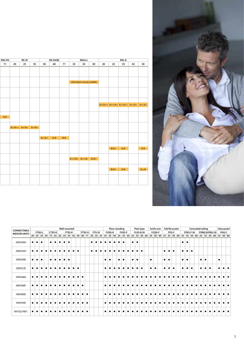| RX-JV                       | RXS-F8 |  |  |  | $RX-GV(B)$          |  |                               | <b>RXLG-L</b> |  |                           | $RXL-K$       |                                               |
|-----------------------------|--------|--|--|--|---------------------|--|-------------------------------|---------------|--|---------------------------|---------------|-----------------------------------------------|
| 20   25   35   50   60   71 | 71     |  |  |  |                     |  | 25 35 50                      |               |  | $20 \mid 25 \mid 35 \mid$ |               | 42 50                                         |
|                             |        |  |  |  |                     |  |                               |               |  |                           |               |                                               |
|                             |        |  |  |  |                     |  |                               |               |  |                           |               |                                               |
|                             |        |  |  |  |                     |  |                               |               |  |                           |               |                                               |
|                             |        |  |  |  |                     |  | information not yet available |               |  |                           |               |                                               |
|                             |        |  |  |  |                     |  |                               |               |  |                           |               |                                               |
|                             |        |  |  |  |                     |  |                               |               |  |                           |               |                                               |
|                             |        |  |  |  |                     |  |                               |               |  |                           |               |                                               |
|                             |        |  |  |  |                     |  |                               |               |  |                           |               |                                               |
|                             |        |  |  |  |                     |  |                               |               |  |                           |               | $A+/A++$ $A++/A+$ $A++/A++$ $A++/A+$ $A++/A+$ |
|                             |        |  |  |  |                     |  |                               |               |  |                           |               |                                               |
|                             |        |  |  |  |                     |  |                               |               |  |                           |               |                                               |
|                             | A/A    |  |  |  |                     |  |                               |               |  |                           |               |                                               |
|                             |        |  |  |  |                     |  |                               |               |  |                           |               |                                               |
| $A+/A++$ $A+/A+$ $A+/A+$    |        |  |  |  |                     |  |                               |               |  |                           |               |                                               |
|                             |        |  |  |  |                     |  |                               |               |  |                           |               |                                               |
|                             |        |  |  |  |                     |  |                               |               |  |                           |               |                                               |
|                             |        |  |  |  | $A+/A+$ $A/A$ $B/A$ |  |                               |               |  |                           |               |                                               |
|                             |        |  |  |  |                     |  |                               |               |  |                           |               |                                               |
|                             |        |  |  |  |                     |  |                               |               |  |                           | $B/A +$ $A/A$ | A/A                                           |
|                             |        |  |  |  |                     |  |                               |               |  |                           |               |                                               |
|                             |        |  |  |  |                     |  | $A++/A+ A++/A$ $A/A+$         |               |  |                           |               |                                               |
|                             |        |  |  |  |                     |  |                               |               |  |                           |               |                                               |
|                             |        |  |  |  |                     |  |                               |               |  |                           |               |                                               |
|                             |        |  |  |  |                     |  |                               |               |  |                           | $B/A +$ $A/A$ | $A+/A$                                        |
|                             |        |  |  |  |                     |  |                               |               |  |                           |               |                                               |
|                             |        |  |  |  |                     |  |                               |               |  |                           |               |                                               |
|                             |        |  |  |  |                     |  |                               |               |  |                           |               |                                               |



| CONNECTABLE         |           |        |           |        | <b>Wall mounted</b> |               |           |               |        |  |               |           | <b>Floor standing</b> |                    |           | Flexi type        |           | Round flow cassette |           | <b>Fully flat cassette</b> |       |                    |           |                  |           | <b>Concealed ceiling</b> |           |               |           |              | Ceiling suspended |
|---------------------|-----------|--------|-----------|--------|---------------------|---------------|-----------|---------------|--------|--|---------------|-----------|-----------------------|--------------------|-----------|-------------------|-----------|---------------------|-----------|----------------------------|-------|--------------------|-----------|------------------|-----------|--------------------------|-----------|---------------|-----------|--------------|-------------------|
| <b>INDOOR UNITS</b> |           | FTXG-L |           | CTXS-K |                     | <b>FTXS-K</b> |           | <b>FTXS-G</b> | FTX-JV |  | <b>FVXG-K</b> |           | <b>FVXS-F</b>         |                    |           | <b>FLXS-B (9)</b> |           | <b>FCQG-F</b>       |           |                            | FFQ-C |                    |           | <b>FDXS-F(9)</b> |           |                          |           | FDBQ-B/FBQ-C8 |           | <b>FHQ-C</b> |                   |
|                     |           |        |           |        |                     |               |           |               |        |  |               |           |                       |                    |           |                   |           |                     |           |                            |       |                    |           |                  |           |                          |           |               |           |              |                   |
| 2MXS40H             |           |        | $\bullet$ |        |                     |               |           |               |        |  |               |           |                       | $\bullet$ $\vdash$ | $\bullet$ |                   |           |                     |           |                            |       | $\bullet$          | $\bullet$ |                  |           |                          |           |               |           |              |                   |
| 2MXS50H             |           |        |           |        |                     |               | $\bullet$ |               |        |  |               |           |                       |                    |           |                   |           |                     |           | $\bullet\;\bullet$         |       |                    | $\bullet$ |                  |           |                          |           |               |           |              |                   |
| 3MXS40K             | $\bullet$ |        | $\bullet$ |        | $\bullet$           | $\bullet$     |           |               |        |  | $\bullet$     | $\bullet$ | $\bullet$             | $\bullet$ .        | $\bullet$ |                   | $\bullet$ |                     | $\bullet$ | $\bullet$                  |       | $\bullet$ $\vdash$ | $\bullet$ |                  | $\bullet$ | $\bullet$                |           |               | $\bullet$ |              |                   |
| 3MXS52E             |           |        |           |        |                     |               |           |               |        |  |               |           |                       |                    |           |                   | $\bullet$ | $\bullet$           |           |                            |       |                    |           |                  |           |                          | $\bullet$ |               |           |              |                   |
| 3MXS68G             |           |        |           |        |                     |               |           |               |        |  |               |           |                       |                    |           |                   |           |                     |           |                            |       |                    |           |                  |           |                          |           |               |           |              |                   |
| 4MXS68F             |           |        |           |        |                     |               |           |               |        |  |               |           |                       |                    |           |                   |           |                     |           |                            |       |                    |           |                  |           |                          |           |               |           |              |                   |
| 4MXS80E             |           |        |           |        |                     |               |           |               |        |  |               |           |                       |                    |           |                   |           |                     |           |                            |       |                    |           |                  |           |                          |           |               |           |              |                   |
| 5MXS90E             |           |        |           |        |                     |               |           |               |        |  |               |           |                       |                    |           |                   |           |                     |           |                            |       |                    |           |                  |           |                          |           |               |           |              |                   |
| RXYSQ-P8V1          |           |        |           |        |                     |               |           |               |        |  |               |           |                       |                    |           |                   |           |                     |           |                            |       |                    |           |                  |           |                          |           |               |           |              |                   |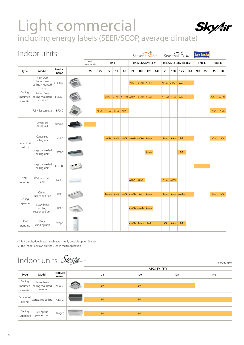#### Light commercial **Skytir** including energy labels (SEER/SCOP, average climate)

|                                | Indoor units                                           |                     |                          |    |                      |        |         |                                       |                       | ÷<br>Seasonal Smart   |     |        | Seasonal Classic      |         |     |     | sper Inverte |         |              |
|--------------------------------|--------------------------------------------------------|---------------------|--------------------------|----|----------------------|--------|---------|---------------------------------------|-----------------------|-----------------------|-----|--------|-----------------------|---------|-----|-----|--------------|---------|--------------|
|                                |                                                        |                     | multi<br>connection only |    |                      | RXS-L  |         |                                       |                       | RZQG-L8V1/L7V1/L(8)Y1 |     |        | RZQSG-L(3/8)V1/L(8)Y1 |         |     |     | RZQ-C        |         | <b>RXL-K</b> |
| <b>Type</b>                    | Model                                                  | Product<br>name     | 25                       | 25 | 35                   | 50     | 60      | 71                                    | 100                   | 125                   | 140 | 71     | 100                   | 125     | 140 | 200 | 250          | 35      | 50           |
|                                | High COP,<br>Round flow<br>ceiling mounted<br>cassette | FCQHG-F             |                          |    |                      |        |         | $A++/A+$                              | $A++/A++$             | $A++/A++$             |     |        | $A++/A+$ $A++/A++$    | $A/A+$  |     |     |              |         |              |
| Ceiling<br>mounted<br>cassette | Round flow<br>ceiling mounted<br>cassette <sup>4</sup> | FCQG-F              |                          |    | $A++/A++$            |        |         | $A++/A++$ $A++/A+$ $A++/A+$ $A++/A++$ |                       | $A+/A+$               |     |        | $A++/A+ A++/A+ $      | $A/A+$  |     |     |              | $A/A++$ | $A+/A+$      |
|                                | Fully flat cassette                                    | FFQ-C               |                          |    | $A++/A+ A++/A+ A+/A$ |        | $A+/A+$ |                                       |                       |                       |     |        |                       |         |     |     |              | $A+/A$  | $A+/A$       |
|                                | Concealed<br>ceiling unit                              | FDBQ-B <sup>2</sup> |                          |    |                      |        |         |                                       |                       |                       |     |        |                       |         |     |     |              |         |              |
| Concealed                      | Concealed<br>ceiling unit                              | FBQ-C8 <sup>1</sup> |                          |    | $A+/A+$              | $A+/A$ |         | $A+/A$ $A++/A+$ $A+/A++$ $A+/A+$      |                       |                       |     | $A+/A$ | $A/A+$                | A/A     |     |     |              | C/A     | B/A          |
| ceiling                        | Large concealed<br>ceiling unit                        | FDQ-C               |                          |    |                      |        |         |                                       |                       | $A+/A+$               |     |        |                       | A/A     |     |     |              |         |              |
|                                | Large concealed<br>ceiling unit                        | FDQ-B <sup>1</sup>  |                          |    |                      |        |         |                                       |                       |                       |     |        |                       |         |     |     |              |         |              |
| Wall<br>mounted                | Wall mounted<br>unit                                   | FAQ-C               |                          |    |                      |        |         |                                       | $A++/A+$ $A++/A+$     |                       |     | $A+/A$ | $A+/A+$               |         |     |     |              |         |              |
| Ceiling                        | Ceiling<br>suspended unit                              | FHQ-C               |                          |    | $A++/A+$ $A+/A$      |        |         | $A+/A$ $A++/A+$ $A++/$                |                       | $A+/A+$               |     | $A+/A$ | $A+/A$                | $A+/A+$ |     |     |              | B/A     | A/A          |
| suspended                      | 4-way blow<br>ceilling<br>suspended unit               | FUQ-C               |                          |    |                      |        |         |                                       | $A++/A+ A++/A+ A+/A+$ |                       |     |        |                       |         |     |     |              |         |              |
| Floor<br>standing              | Floor<br>standing unit                                 | FVQ-C               |                          |    |                      |        |         |                                       | $A++/A+$ $A+/A+$      | $A+/A$                |     | A/A    | $A/A+$                | A/A     |     |     |              |         |              |

(1) Twin, triple, double twin application is only possible up to 125 class (2) This indoor unit can only be used in multi application.

#### Indoor units Siesta

|                    |                               |                 |    |     | AZQS-BV1/BY1 |     |     |
|--------------------|-------------------------------|-----------------|----|-----|--------------|-----|-----|
| <b>Type</b>        | Model                         | Product<br>name |    | 71  | 100          | 125 | 140 |
| Ceiling<br>mounted | 4-way blow<br>ceiling mounted | ACQ-C           |    | B/A | B/A          |     |     |
| cassette           | cassette                      |                 |    |     |              |     |     |
| Concealed          | Concealed ceiling             | ABQ-C           |    | B/A | B/A          |     |     |
| ceiling            |                               |                 |    |     |              |     |     |
| Ceiling            | Ceiling sus-                  |                 | -- |     |              |     |     |
| suspended          | pended unit                   | AHQ-C           |    | B/A | B/A          |     |     |

Capacity class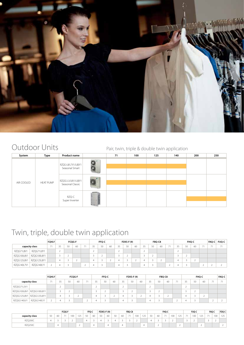

#### Outdoor Units Pair, twin, triple & double twin application

| System     | Type             | <b>Product name</b>                      | 71 | 100 | 125 | 140 | 200 | 250 |
|------------|------------------|------------------------------------------|----|-----|-----|-----|-----|-----|
|            |                  | RZQG-L8/L7V1/L(8)Y1<br>Seasonal Smart    |    |     |     |     |     |     |
| AIR COOLED | <b>HEAT PUMP</b> | RZQSG-L3/L8V1/L(8)Y1<br>Seasonal Classic |    |     |     |     |     |     |
|            |                  | RZQ-C<br>Super Inverter                  |    |     |     |     |     |     |

#### Twin, triple, double twin application

|             |                | FCOHG-F |    | <b>FCQG-F</b> |    |                             |    | FFQ-C |    |    | <b>FDXS-F (9)</b> |    |    | FBQ-C8 |    |                          |    | FHQ-C |        |    | <b>FAQ-C FUQ-C</b> |
|-------------|----------------|---------|----|---------------|----|-----------------------------|----|-------|----|----|-------------------|----|----|--------|----|--------------------------|----|-------|--------|----|--------------------|
|             | capacity class |         | 35 | 50            | 60 | $\rightarrow$ $\rightarrow$ | २६ | 50    | 60 | マミ | 50                | 60 | 35 | 50     | 60 | $\overline{\phantom{a}}$ | 50 | 60    | $-7.4$ | 74 | 71                 |
| RZQG71L8V1  | RZQG71L8Y1     |         |    |               |    |                             | ∸  |       |    |    |                   |    | ∠  |        |    |                          |    |       |        |    |                    |
| RZQG100L8V1 | RZQG100L8Y1    |         |    |               |    |                             |    |       |    |    |                   |    |    |        |    |                          |    |       |        |    |                    |
| RZQG125L8V1 | RZQG125L8Y1    |         |    |               |    |                             | 4  |       |    |    |                   |    |    |        |    |                          |    |       |        |    |                    |
| RZQG140L7V1 | RZQG140LY1     |         |    |               |    |                             |    |       |    |    |                   |    |    |        |    |                          |    |       |        |    |                    |

|              |                | FCQHG-F |    |    | <b>FCQG-F</b> |    |    | FFQ-C |    |          | $FDXS-F(9)$ |    |        |    | FBQ-C8 |    | <b>FHQ-C</b> |    | FAQ-C |
|--------------|----------------|---------|----|----|---------------|----|----|-------|----|----------|-------------|----|--------|----|--------|----|--------------|----|-------|
|              | capacity class | 71      | 35 | 50 | 60            | 71 | 35 | 50    | 60 | 35       | 50          | 60 | 35     | 50 | 60     | 35 | 50           | 60 |       |
| RZQSG71L3V1  |                |         |    |    |               |    |    |       |    |          |             |    | $\sim$ |    |        |    |              |    |       |
| RZQSG100L8V1 | RZOSG100L8Y1   |         |    |    |               |    |    | ∸     |    |          |             |    |        |    |        |    |              |    |       |
| RZQSG125L8V1 | RZQSG125L8Y1   |         | Δ  |    |               |    |    |       |    |          |             |    |        |    |        |    |              |    |       |
| RZQSG140LV1  | RZQSG140LY1    |         |    |    |               |    |    |       |    | $\Delta$ |             |    |        |    |        |    |              |    |       |

|                |    |    | FCQG-F                      |     |            | FFQ-C           |          | <b>FDXS-F (9)</b> |    |           |    | FBQ-C8                      |     |                                                           |    |    | FHQ-C |          |          |        | FUQ-C |          | FAQ-C |     | FDQ-C |
|----------------|----|----|-----------------------------|-----|------------|-----------------|----------|-------------------|----|-----------|----|-----------------------------|-----|-----------------------------------------------------------|----|----|-------|----------|----------|--------|-------|----------|-------|-----|-------|
| capacity class | 50 | 60 | $\rightarrow$ $\rightarrow$ | 100 | 105<br>ن ک | 50 <sub>1</sub> | 60       | 50                | 60 | $50 - 50$ | 60 | $\rightarrow$ $\rightarrow$ | 100 | $\sim$ $\sim$ $\sim$<br>$\overline{\phantom{a}}$<br>ر ے ا | 50 | 60 | $ -$  | 100<br>w | 125      | $\sim$ | 100   | 125<br>. | $ -$  | 100 | 125   |
| RZQ200C        |    |    |                             |     |            |                 |          |                   |    |           |    |                             |     |                                                           |    |    |       |          |          |        |       |          |       |     |       |
| RZQ250C        |    | д  |                             |     |            |                 | $\Delta$ |                   | ≖  |           | Δ  |                             |     | 4                                                         |    | ∸  |       |          | <u>_</u> |        |       |          |       |     |       |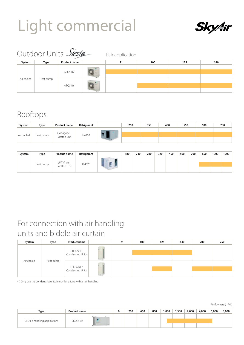## Light commercial



Air flow rate (m3 /h)

|            |           | Outdoor Units Siesta | Pair application |     |     |     |
|------------|-----------|----------------------|------------------|-----|-----|-----|
| System     | Type      | <b>Product name</b>  | 71               | 100 | 125 | 140 |
|            |           | AZQS-BV1             |                  |     |     |     |
| Air cooled | Heat pump | AZQS-BY1             |                  |     |     |     |

#### Rooftops

| System     | Type      | <b>Product name</b>       | Refrigerant | 250 | 350 | 450 | 550 | 600 | 700 |
|------------|-----------|---------------------------|-------------|-----|-----|-----|-----|-----|-----|
|            |           |                           |             |     |     |     |     |     |     |
| Air cooled | Heat pump | UATYQ-CY1<br>Rooftop unit | R-410A      |     |     |     |     |     |     |
|            |           |                           |             |     |     |     |     |     |     |

| System | Type      | <b>Product name</b>       | Refrigerant | 180 | 240 | 280 | 320 | 450 | 560 | 700 | 850 | 1000 | 1200 |
|--------|-----------|---------------------------|-------------|-----|-----|-----|-----|-----|-----|-----|-----|------|------|
|        | Heat pump | UATYP-AY1<br>Rooftop Unit | R-407C      |     |     |     |     |     |     |     |     |      |      |
|        |           |                           |             |     |     |     |     |     |     |     |     |      |      |

#### For connection with air handling units and biddle air curtain

| System     | Type                                                  | <b>Product name</b>  | 71 | 100 | 125 | 140 | 200 | 250 |
|------------|-------------------------------------------------------|----------------------|----|-----|-----|-----|-----|-----|
|            |                                                       | ERQ-AV1 <sup>1</sup> |    |     |     |     |     |     |
| Air cooled |                                                       | Condensing Units     |    |     |     |     |     |     |
|            | Heat pump<br>ERQ-AW1 <sup>1</sup><br>Condensing Units |                      |    |     |     |     |     |     |
|            |                                                       |                      |    |     |     |     |     |     |

(1) Only use the condensing units in combinations with an air handling

| Type                          | <b>Product name</b> |  | 200 | 600 | 800 | ,000 | 500, ا | 2,000 | 4,000 | 6,000 | 8,000 |
|-------------------------------|---------------------|--|-----|-----|-----|------|--------|-------|-------|-------|-------|
| ERQ air handling applications | EKEXV-kit           |  |     |     |     |      |        |       |       |       |       |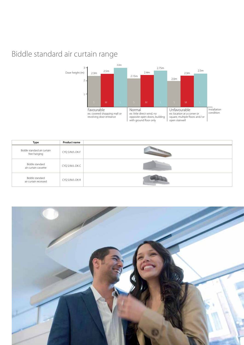#### Biddle standard air curtain range



| Type                                        | <b>Product name</b> |  |
|---------------------------------------------|---------------------|--|
| Biddle standard air curtain<br>free hanging | CYQ S/M/L-DK-F      |  |
| Biddle standard<br>air curtain cassette     | CYQ S/M/L-DK-C      |  |
| Biddle standard<br>air curtain recessed     | CYQ S/M/L-DK-R      |  |